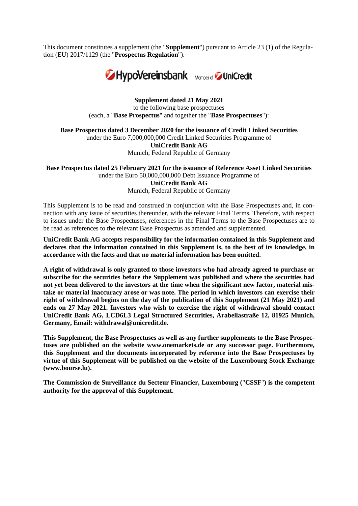This document constitutes a supplement (the "**Supplement**") pursuant to Article 23 (1) of the Regulation (EU) 2017/1129 (the "**Prospectus Regulation**").



**Supplement dated 21 May 2021** to the following base prospectuses (each, a "**Base Prospectus**" and together the "**Base Prospectuses**"):

**Base Prospectus dated 3 December 2020 for the issuance of Credit Linked Securities**

under the Euro 7,000,000,000 Credit Linked Securities Programme of **UniCredit Bank AG**

Munich, Federal Republic of Germany

**Base Prospectus dated 25 February 2021 for the issuance of Reference Asset Linked Securities**  under the Euro 50,000,000,000 Debt Issuance Programme of **UniCredit Bank AG**

Munich, Federal Republic of Germany

This Supplement is to be read and construed in conjunction with the Base Prospectuses and, in connection with any issue of securities thereunder, with the relevant Final Terms. Therefore, with respect to issues under the Base Prospectuses, references in the Final Terms to the Base Prospectuses are to be read as references to the relevant Base Prospectus as amended and supplemented.

**UniCredit Bank AG accepts responsibility for the information contained in this Supplement and declares that the information contained in this Supplement is, to the best of its knowledge, in accordance with the facts and that no material information has been omitted.**

**A right of withdrawal is only granted to those investors who had already agreed to purchase or subscribe for the securities before the Supplement was published and where the securities had not yet been delivered to the investors at the time when the significant new factor, material mistake or material inaccuracy arose or was note. The period in which investors can exercise their right of withdrawal begins on the day of the publication of this Supplement (21 May 2021) and ends on 27 May 2021. Investors who wish to exercise the right of withdrawal should contact UniCredit Bank AG, LCD6L3 Legal Structured Securities, Arabellastraße 12, 81925 Munich, Germany, Email: [withdrawal@unicredit.de.](mailto:withdrawal@unicredit.de)**

**This Supplement, the Base Prospectuses as well as any further supplements to the Base Prospectuses are published on the website www.onemarkets.de or any successor page. Furthermore, this Supplement and the documents incorporated by reference into the Base Prospectuses by virtue of this Supplement will be published on the website of the Luxembourg Stock Exchange [\(www.bourse.lu\)](http://www.bourse.lu/).**

**The Commission de Surveillance du Secteur Financier, Luxembourg (**"**CSSF**"**) is the competent authority for the approval of this Supplement.**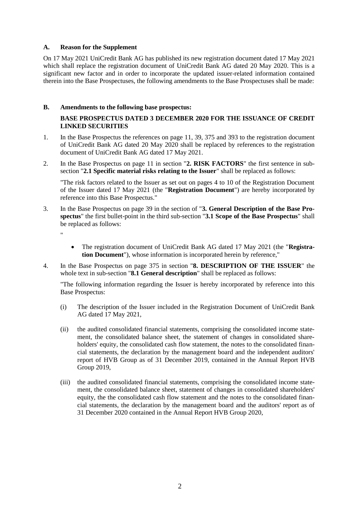#### **A. Reason for the Supplement**

On 17 May 2021 UniCredit Bank AG has published its new registration document dated 17 May 2021 which shall replace the registration document of UniCredit Bank AG dated 20 May 2020. This is a significant new factor and in order to incorporate the updated issuer-related information contained therein into the Base Prospectuses, the following amendments to the Base Prospectuses shall be made:

# **B. Amendments to the following base prospectus:**

# **BASE PROSPECTUS DATED 3 DECEMBER 2020 FOR THE ISSUANCE OF CREDIT LINKED SECURITIES**

- 1. In the Base Prospectus the references on page 11, 39, 375 and 393 to the registration document of UniCredit Bank AG dated 20 May 2020 shall be replaced by references to the registration document of UniCredit Bank AG dated 17 May 2021.
- 2. In the Base Prospectus on page 11 in section "**2. RISK FACTORS**" the first sentence in subsection "**2.1 Specific material risks relating to the Issuer**" shall be replaced as follows:

"The risk factors related to the Issuer as set out on pages 4 to 10 of the Registration Document of the Issuer dated 17 May 2021 (the "**Registration Document**") are hereby incorporated by reference into this Base Prospectus."

- 3. In the Base Prospectus on page 39 in the section of "**3. General Description of the Base Prospectus**" the first bullet-point in the third sub-section "**3.1 Scope of the Base Prospectus**" shall be replaced as follows:
	- "
- The registration document of UniCredit Bank AG dated 17 May 2021 (the "**Registration Document**"), whose information is incorporated herein by reference,"
- 4. In the Base Prospectus on page 375 in section "**8. DESCRIPTION OF THE ISSUER**" the whole text in sub-section "**8.1 General description**" shall be replaced as follows:

"The following information regarding the Issuer is hereby incorporated by reference into this Base Prospectus:

- (i) The description of the Issuer included in the Registration Document of UniCredit Bank AG dated 17 May 2021,
- (ii) the audited consolidated financial statements, comprising the consolidated income statement, the consolidated balance sheet, the statement of changes in consolidated shareholders' equity, the consolidated cash flow statement, the notes to the consolidated financial statements, the declaration by the management board and the independent auditors' report of HVB Group as of 31 December 2019, contained in the Annual Report HVB Group 2019,
- (iii) the audited consolidated financial statements, comprising the consolidated income statement, the consolidated balance sheet, statement of changes in consolidated shareholders' equity, the the consolidated cash flow statement and the notes to the consolidated financial statements, the declaration by the management board and the auditors' report as of 31 December 2020 contained in the Annual Report HVB Group 2020,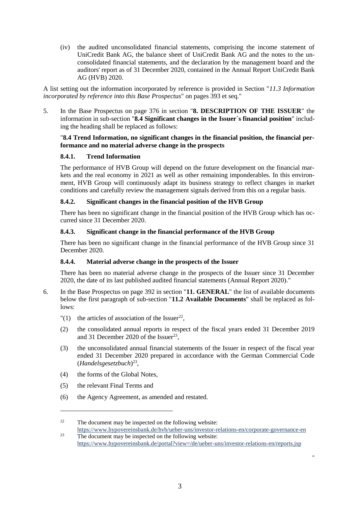(iv) the audited unconsolidated financial statements, comprising the income statement of UniCredit Bank AG, the balance sheet of UniCredit Bank AG and the notes to the unconsolidated financial statements, and the declaration by the management board and the auditors' report as of 31 December 2020, contained in the Annual Report UniCredit Bank AG (HVB) 2020.

A list setting out the information incorporated by reference is provided in Section "*11.3 Information incorporated by reference into this Base Prospectus*" on pages 393 et seq."

5. In the Base Prospectus on page 376 in section "**8. DESCRIPTION OF THE ISSUER**" the information in sub-section "**8.4 Significant changes in the Issuer´s financial position**" including the heading shall be replaced as follows:

#### "**8.4 Trend Information, no significant changes in the financial position, the financial performance and no material adverse change in the prospects**

## **8.4.1. Trend Information**

The performance of HVB Group will depend on the future development on the financial markets and the real economy in 2021 as well as other remaining imponderables. In this environment, HVB Group will continuously adapt its business strategy to reflect changes in market conditions and carefully review the management signals derived from this on a regular basis.

## **8.4.2. Significant changes in the financial position of the HVB Group**

There has been no significant change in the financial position of the HVB Group which has occurred since 31 December 2020.

## **8.4.3. Significant change in the financial performance of the HVB Group**

There has been no significant change in the financial performance of the HVB Group since 31 December 2020.

# **8.4.4. Material adverse change in the prospects of the Issuer**

There has been no material adverse change in the prospects of the Issuer since 31 December 2020, the date of its last published audited financial statements (Annual Report 2020)."

- 6. In the Base Prospectus on page 392 in section "**11. GENERAL**" the list of available documents below the first paragraph of sub-section "**11.2 Available Documents**" shall be replaced as follows:
	- "(1) the articles of association of the Issuer<sup>22</sup>,
	- (2) the consolidated annual reports in respect of the fiscal years ended 31 December 2019 and 31 December 2020 of the Issuer<sup>23</sup>,
	- (3) the unconsolidated annual financial statements of the Issuer in respect of the fiscal year ended 31 December 2020 prepared in accordance with the German Commercial Code (*Handelsgesetzbuch*) 23 ,
	- (4) the forms of the Global Notes,

\_\_\_\_\_\_\_\_\_\_\_\_\_\_\_\_\_\_\_\_\_\_\_\_\_\_\_\_\_\_\_\_\_\_

- (5) the relevant Final Terms and
- (6) the Agency Agreement, as amended and restated.

"

 $22$  The document may be inspected on the following website: <https://www.hypovereinsbank.de/hvb/ueber-uns/investor-relations-en/corporate-governance-en>  $2<sup>23</sup>$  The document may be inspected on the following website:

<https://www.hypovereinsbank.de/portal?view=/de/ueber-uns/investor-relations-en/reports.jsp>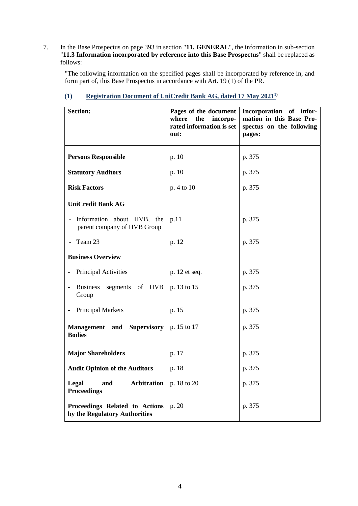7. In the Base Prospectus on page 393 in section "**11. GENERAL**", the information in sub-section "**11.3 Information incorporated by reference into this Base Prospectus**" shall be replaced as follows:

"The following information on the specified pages shall be incorporated by reference in, and form part of, this Base Prospectus in accordance with Art. 19 (1) of the PR.

| <b>Section:</b>                                                                       | Pages of the document<br>where<br>incorpo-<br>the<br>rated information is set<br>out: | Incorporation of infor-<br>mation in this Base Pro-<br>spectus on the following<br>pages: |
|---------------------------------------------------------------------------------------|---------------------------------------------------------------------------------------|-------------------------------------------------------------------------------------------|
| <b>Persons Responsible</b>                                                            | p. 10                                                                                 | p. 375                                                                                    |
| <b>Statutory Auditors</b>                                                             | p. 10                                                                                 | p. 375                                                                                    |
| <b>Risk Factors</b>                                                                   | p. 4 to 10                                                                            | p. 375                                                                                    |
| <b>UniCredit Bank AG</b>                                                              |                                                                                       |                                                                                           |
| - Information about HVB, the<br>parent company of HVB Group                           | p.11                                                                                  | p. 375                                                                                    |
| Team 23                                                                               | p. 12                                                                                 | p. 375                                                                                    |
| <b>Business Overview</b>                                                              |                                                                                       |                                                                                           |
| Principal Activities                                                                  | p. 12 et seq.                                                                         | p. 375                                                                                    |
| <b>Business</b><br>segments of HVB<br>$\overline{\phantom{0}}$<br>Group               | p. 13 to 15                                                                           | p. 375                                                                                    |
| <b>Principal Markets</b>                                                              | p. 15                                                                                 | p. 375                                                                                    |
| <b>Management</b> and Supervisory $\vert p. 15 \text{ to } 17 \vert$<br><b>Bodies</b> |                                                                                       | p. 375                                                                                    |
| <b>Major Shareholders</b>                                                             | p. 17                                                                                 | p. 375                                                                                    |
| <b>Audit Opinion of the Auditors</b>                                                  | p. 18                                                                                 | p. 375                                                                                    |
| Arbitration<br>Legal<br>and<br><b>Proceedings</b>                                     | p. 18 to 20                                                                           | p. 375                                                                                    |
| Proceedings Related to Actions<br>by the Regulatory Authorities                       | p. 20                                                                                 | p. 375                                                                                    |

# **(1) [Registration Document of UniCredit Bank AG, dated 17](https://www.onemarkets.de/content/dam/onemarkets-relaunch/PDF/Registrierungsdokumente/HVB%20DIP%202021%20Registration%20Document.pdf) May 20211)**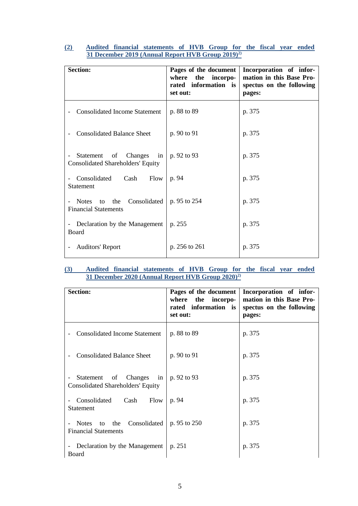| <b>Section:</b>                                                              | Pages of the document<br>where the incorpo-<br>rated information is<br>set out: | Incorporation of infor-<br>mation in this Base Pro-<br>spectus on the following<br>pages: |
|------------------------------------------------------------------------------|---------------------------------------------------------------------------------|-------------------------------------------------------------------------------------------|
| <b>Consolidated Income Statement</b>                                         | p. 88 to 89                                                                     | p. 375                                                                                    |
| <b>Consolidated Balance Sheet</b>                                            | p. 90 to 91                                                                     | p. 375                                                                                    |
| Changes<br>Statement<br>of<br>in<br><b>Consolidated Shareholders' Equity</b> | p. 92 to 93                                                                     | p. 375                                                                                    |
| Consolidated Cash<br>Flow<br>Statement                                       | p. 94                                                                           | p. 375                                                                                    |
| to the Consolidated<br>Notes<br><b>Financial Statements</b>                  | p. 95 to 254                                                                    | p. 375                                                                                    |
| Declaration by the Management<br>$\overline{\phantom{a}}$<br>Board           | p. 255                                                                          | p. 375                                                                                    |
| <b>Auditors' Report</b>                                                      | p. 256 to 261                                                                   | p. 375                                                                                    |

# **(2) [Audited financial statements of HVB Group for the fiscal year ended](https://www.hypovereinsbank.de/content/dam/hypovereinsbank/ueber-uns/pdf/investor-relations/Berichte/EN/2020/Annual-Report-HVB-Group-2019.pdf)  31 December [2019 \(Annual Report HVB Group 2019\)](https://www.hypovereinsbank.de/content/dam/hypovereinsbank/ueber-uns/pdf/investor-relations/Berichte/EN/2020/Annual-Report-HVB-Group-2019.pdf)2)**

## **(3) [Audited financial statements of HVB Group for the fiscal year ended](https://www.hypovereinsbank.de/content/dam/hypovereinsbank/ueber-uns/pdf/investor-relations/Berichte/EN/2020/Annual-Report-HVB-Group-2020.pdf)  31 December [2020 \(Annual Report HVB Group 2020\)](https://www.hypovereinsbank.de/content/dam/hypovereinsbank/ueber-uns/pdf/investor-relations/Berichte/EN/2020/Annual-Report-HVB-Group-2020.pdf)2)**

| <b>Section:</b>                                                                                          | Pages of the document<br>the<br>incorpo-<br>where<br>rated information is<br>set out: | Incorporation of infor-<br>mation in this Base Pro-<br>spectus on the following<br>pages: |
|----------------------------------------------------------------------------------------------------------|---------------------------------------------------------------------------------------|-------------------------------------------------------------------------------------------|
| <b>Consolidated Income Statement</b>                                                                     | p. 88 to 89                                                                           | p. 375                                                                                    |
| <b>Consolidated Balance Sheet</b>                                                                        | p. 90 to 91                                                                           | p. 375                                                                                    |
| Statement<br>Changes<br>of<br>in<br>$\overline{\phantom{a}}$<br><b>Consolidated Shareholders' Equity</b> | p. 92 to 93                                                                           | p. 375                                                                                    |
| Consolidated<br>Cash<br>Flow<br><b>Statement</b>                                                         | p. 94                                                                                 | p. 375                                                                                    |
| Consolidated<br><b>Notes</b><br>the<br>to<br><b>Financial Statements</b>                                 | p. 95 to 250                                                                          | p. 375                                                                                    |
| Declaration by the Management<br>$\overline{\phantom{a}}$<br>Board                                       | p. 251                                                                                | p. 375                                                                                    |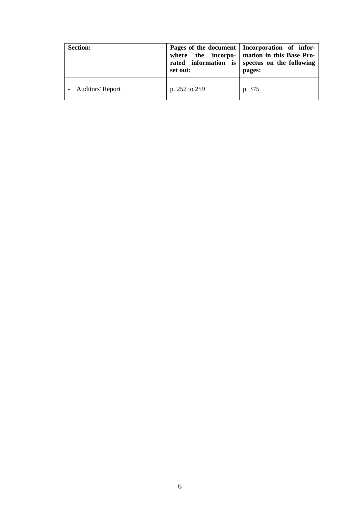| <b>Section:</b>         | set out:      | Pages of the document   Incorporation of infor-<br>where the incorpo-   mation in this Base Pro-<br>rated information is spectus on the following<br>pages: |
|-------------------------|---------------|-------------------------------------------------------------------------------------------------------------------------------------------------------------|
| <b>Auditors' Report</b> | p. 252 to 259 | p. 375                                                                                                                                                      |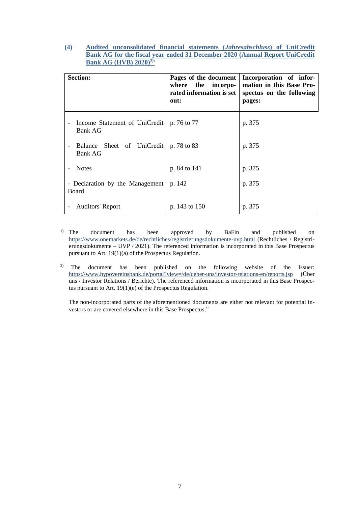## **(4) [Audited unconsolidated financial statements \(](https://www.hypovereinsbank.de/content/dam/hypovereinsbank/ueber-uns/pdf/investor-relations/Berichte/EN/2020/Annual-Report-UniCredit-Bank-AG-HVB-2020.pdf)***Jahresabschluss***) of UniCredit [Bank AG for the fiscal year ended 31 December 2020 \(Annual Report UniCredit](https://www.hypovereinsbank.de/content/dam/hypovereinsbank/ueber-uns/pdf/investor-relations/Berichte/EN/2020/Annual-Report-UniCredit-Bank-AG-HVB-2020.pdf)  [Bank AG \(HVB\) 2020\)](https://www.hypovereinsbank.de/content/dam/hypovereinsbank/ueber-uns/pdf/investor-relations/Berichte/EN/2020/Annual-Report-UniCredit-Bank-AG-HVB-2020.pdf)2):**

| <b>Section:</b>                                 | Pages of the document<br>where the incorpo-<br>rated information is set<br>out: | Incorporation of infor-<br>mation in this Base Pro-<br>spectus on the following<br>pages: |
|-------------------------------------------------|---------------------------------------------------------------------------------|-------------------------------------------------------------------------------------------|
| Income Statement of UniCredit<br><b>Bank AG</b> | p. 76 to 77                                                                     | p. 375                                                                                    |
| Balance Sheet of UniCredit<br><b>Bank AG</b>    | p. 78 to 83                                                                     | p. 375                                                                                    |
| <b>Notes</b>                                    | p. 84 to 141                                                                    | p. 375                                                                                    |
| - Declaration by the Management<br>Board        | p. 142                                                                          | p. 375                                                                                    |
| <b>Auditors' Report</b>                         | p. 143 to 150                                                                   | p. 375                                                                                    |

- <sup>1)</sup> The document has been approved by BaFin and published on <https://www.onemarkets.de/de/rechtliches/registrierungsdokumente-uvp.html> (Rechtliches / Registrierungsdokumente – UVP / 2021). The referenced information is incorporated in this Base Prospectus pursuant to Art. 19(1)(a) of the Prospectus Regulation.
- <sup>2)</sup> The document has been published on the following website of the Issuer: <https://www.hypovereinsbank.de/portal?view=/de/ueber-uns/investor-relations-en/reports.jsp> (Über uns / Investor Relations / Berichte). The referenced information is incorporated in this Base Prospectus pursuant to Art. 19(1)(e) of the Prospectus Regulation.

The non-incorporated parts of the aforementioned documents are either not relevant for potential investors or are covered elsewhere in this Base Prospectus."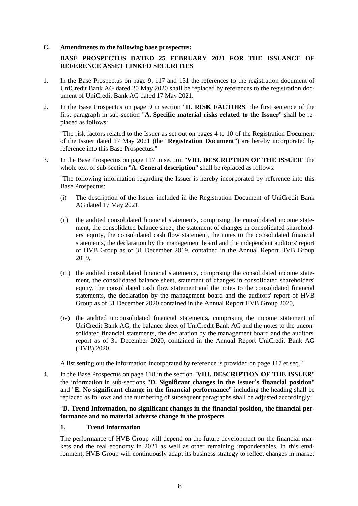#### **C. Amendments to the following base prospectus:**

# **BASE PROSPECTUS DATED 25 FEBRUARY 2021 FOR THE ISSUANCE OF REFERENCE ASSET LINKED SECURITIES**

- 1. In the Base Prospectus on page 9, 117 and 131 the references to the registration document of UniCredit Bank AG dated 20 May 2020 shall be replaced by references to the registration document of UniCredit Bank AG dated 17 May 2021.
- 2. In the Base Prospectus on page 9 in section "**II. RISK FACTORS**" the first sentence of the first paragraph in sub-section "**A. Specific material risks related to the Issuer**" shall be replaced as follows:

"The risk factors related to the Issuer as set out on pages 4 to 10 of the Registration Document of the Issuer dated 17 May 2021 (the "**Registration Document**") are hereby incorporated by reference into this Base Prospectus."

3. In the Base Prospectus on page 117 in section "**VIII. DESCRIPTION OF THE ISSUER**" the whole text of sub-section "**A. General description**" shall be replaced as follows:

"The following information regarding the Issuer is hereby incorporated by reference into this Base Prospectus:

- (i) The description of the Issuer included in the Registration Document of UniCredit Bank AG dated 17 May 2021,
- (ii) the audited consolidated financial statements, comprising the consolidated income statement, the consolidated balance sheet, the statement of changes in consolidated shareholders' equity, the consolidated cash flow statement, the notes to the consolidated financial statements, the declaration by the management board and the independent auditors' report of HVB Group as of 31 December 2019, contained in the Annual Report HVB Group 2019,
- (iii) the audited consolidated financial statements, comprising the consolidated income statement, the consolidated balance sheet, statement of changes in consolidated shareholders' equity, the consolidated cash flow statement and the notes to the consolidated financial statements, the declaration by the management board and the auditors' report of HVB Group as of 31 December 2020 contained in the Annual Report HVB Group 2020,
- (iv) the audited unconsolidated financial statements, comprising the income statement of UniCredit Bank AG, the balance sheet of UniCredit Bank AG and the notes to the unconsolidated financial statements, the declaration by the management board and the auditors' report as of 31 December 2020, contained in the Annual Report UniCredit Bank AG (HVB) 2020.

A list setting out the information incorporated by reference is provided on page 117 et seq."

4. In the Base Prospectus on page 118 in the section "**VIII. DESCRIPTION OF THE ISSUER**" the information in sub-sections "**D. Significant changes in the Issuer´s financial position**" and "**E. No significant change in the financial performance**" including the heading shall be replaced as follows and the numbering of subsequent paragraphs shall be adjusted accordingly:

#### "**D. Trend Information, no significant changes in the financial position, the financial performance and no material adverse change in the prospects**

#### **1. Trend Information**

The performance of HVB Group will depend on the future development on the financial markets and the real economy in 2021 as well as other remaining imponderables. In this environment, HVB Group will continuously adapt its business strategy to reflect changes in market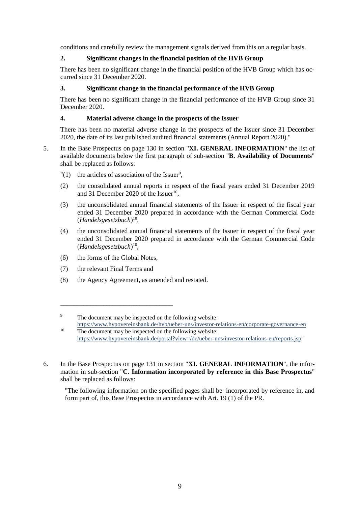conditions and carefully review the management signals derived from this on a regular basis.

# **2. Significant changes in the financial position of the HVB Group**

There has been no significant change in the financial position of the HVB Group which has occurred since 31 December 2020.

## **3. Significant change in the financial performance of the HVB Group**

There has been no significant change in the financial performance of the HVB Group since 31 December 2020.

#### **4. Material adverse change in the prospects of the Issuer**

There has been no material adverse change in the prospects of the Issuer since 31 December 2020, the date of its last published audited financial statements (Annual Report 2020)."

- 5. In the Base Prospectus on page 130 in section "**XI. GENERAL INFORMATION**" the list of available documents below the first paragraph of sub-section "**B. Availability of Documents**" shall be replaced as follows:
	- " $(1)$  the articles of association of the Issuer<sup>9</sup>,
	- (2) the consolidated annual reports in respect of the fiscal years ended 31 December 2019 and 31 December 2020 of the Issuer $^{10}$ ,
	- (3) the unconsolidated annual financial statements of the Issuer in respect of the fiscal year ended 31 December 2020 prepared in accordance with the German Commercial Code (*Handelsgesetzbuch*) 10 ,
	- (4) the unconsolidated annual financial statements of the Issuer in respect of the fiscal year ended 31 December 2020 prepared in accordance with the German Commercial Code (*Handelsgesetzbuch*) 10 ,
	- (6) the forms of the Global Notes,

\_\_\_\_\_\_\_\_\_\_\_\_\_\_\_\_\_\_\_\_\_\_\_\_\_\_\_\_\_\_\_\_\_\_

- (7) the relevant Final Terms and
- (8) the Agency Agreement, as amended and restated.

6. In the Base Prospectus on page 131 in section "**XI. GENERAL INFORMATION**", the information in sub-section "**C. Information incorporated by reference in this Base Prospectus**" shall be replaced as follows:

"The following information on the specified pages shall be incorporated by reference in, and form part of, this Base Prospectus in accordance with Art. 19 (1) of the PR.

<sup>&</sup>lt;sup>9</sup> The document may be inspected on the following website: <https://www.hypovereinsbank.de/hvb/ueber-uns/investor-relations-en/corporate-governance-en>

<sup>&</sup>lt;sup>10</sup> The document may be inspected on the following website: [https://www.hypovereinsbank.de/portal?view=/de/ueber-uns/investor-relations-en/reports.jsp"](https://www.hypovereinsbank.de/portal?view=/de/ueber-uns/investor-relations-en/reports.jsp)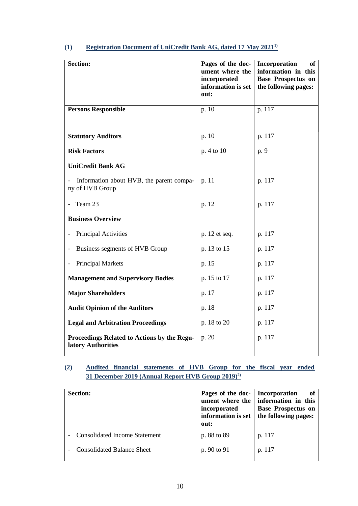| <b>Section:</b>                                                   | Pages of the doc-<br>ument where the<br>incorporated<br>information is set<br>out: | Incorporation<br>of<br>information in this<br><b>Base Prospectus on</b><br>the following pages: |
|-------------------------------------------------------------------|------------------------------------------------------------------------------------|-------------------------------------------------------------------------------------------------|
| <b>Persons Responsible</b>                                        | p.10                                                                               | p. 117                                                                                          |
|                                                                   |                                                                                    |                                                                                                 |
| <b>Statutory Auditors</b>                                         | p. 10                                                                              | p. 117                                                                                          |
| <b>Risk Factors</b>                                               | p. 4 to 10                                                                         | p. 9                                                                                            |
| <b>UniCredit Bank AG</b>                                          |                                                                                    |                                                                                                 |
| Information about HVB, the parent compa-<br>ny of HVB Group       | p. 11                                                                              | p. 117                                                                                          |
| Team 23                                                           | p. 12                                                                              | p. 117                                                                                          |
| <b>Business Overview</b>                                          |                                                                                    |                                                                                                 |
| Principal Activities                                              | p. 12 et seq.                                                                      | p. 117                                                                                          |
| Business segments of HVB Group                                    | p. 13 to 15                                                                        | p. 117                                                                                          |
| <b>Principal Markets</b>                                          | p. 15                                                                              | p. 117                                                                                          |
| <b>Management and Supervisory Bodies</b>                          | p. 15 to 17                                                                        | p. 117                                                                                          |
| <b>Major Shareholders</b>                                         | p. 17                                                                              | p. 117                                                                                          |
| <b>Audit Opinion of the Auditors</b>                              | p. 18                                                                              | p. 117                                                                                          |
| <b>Legal and Arbitration Proceedings</b>                          | p. 18 to 20                                                                        | p. 117                                                                                          |
| Proceedings Related to Actions by the Regu-<br>latory Authorities | p. 20                                                                              | p. 117                                                                                          |

# **(1) [Registration Document of UniCredit Bank AG, dated 17 May 2021](https://www.onemarkets.de/content/dam/onemarkets-relaunch/PDF/Registrierungsdokumente/HVB%20DIP%202021%20Registration%20Document.pdf)1)**

# **(2) [Audited financial statements of HVB Group for the fiscal year ended](https://www.hypovereinsbank.de/content/dam/hypovereinsbank/ueber-uns/pdf/investor-relations/Berichte/EN/2020/Annual-Report-HVB-Group-2019.pdf)  31 December [2019 \(Annual Report HVB Group 2019\)](https://www.hypovereinsbank.de/content/dam/hypovereinsbank/ueber-uns/pdf/investor-relations/Berichte/EN/2020/Annual-Report-HVB-Group-2019.pdf)2)**

| <b>Section:</b>                      | Pages of the doc-<br>ument where the<br>incorporated<br>information is set<br>out: | <b>Incorporation</b><br>of<br>information in this<br><b>Base Prospectus on</b><br>the following pages: |
|--------------------------------------|------------------------------------------------------------------------------------|--------------------------------------------------------------------------------------------------------|
| <b>Consolidated Income Statement</b> | p. 88 to 89                                                                        | p. 117                                                                                                 |
| <b>Consolidated Balance Sheet</b>    | p. 90 to 91                                                                        | p. 117                                                                                                 |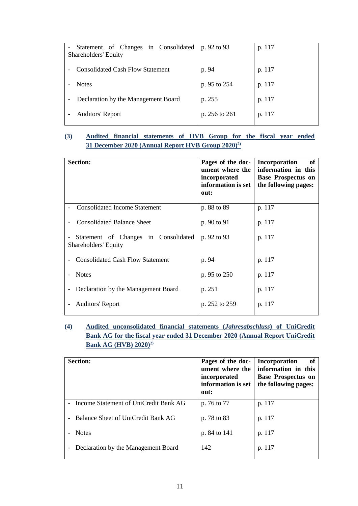| Statement of Changes in Consolidated<br>Shareholders' Equity | p. 92 to 93   | p. 117 |
|--------------------------------------------------------------|---------------|--------|
| <b>Consolidated Cash Flow Statement</b>                      | p. 94         | p. 117 |
| <b>Notes</b>                                                 | p. 95 to 254  | p. 117 |
| Declaration by the Management Board                          | p. 255        | p. 117 |
| <b>Auditors' Report</b>                                      | p. 256 to 261 | p. 117 |
|                                                              |               |        |

# **(3) [Audited financial statements of HVB Group for the fiscal year ended](https://www.hypovereinsbank.de/content/dam/hypovereinsbank/ueber-uns/pdf/investor-relations/Berichte/EN/2020/Annual-Report-HVB-Group-2020.pdf)  31 December 2020 [\(Annual Report HVB Group 2020\)](https://www.hypovereinsbank.de/content/dam/hypovereinsbank/ueber-uns/pdf/investor-relations/Berichte/EN/2020/Annual-Report-HVB-Group-2020.pdf) 2)**

| <b>Section:</b>                                              | Pages of the doc-<br>ument where the<br>incorporated<br>information is set<br>out: | Incorporation<br><b>of</b><br>information in this<br><b>Base Prospectus on</b><br>the following pages: |
|--------------------------------------------------------------|------------------------------------------------------------------------------------|--------------------------------------------------------------------------------------------------------|
| <b>Consolidated Income Statement</b>                         | p. 88 to 89                                                                        | p. 117                                                                                                 |
| <b>Consolidated Balance Sheet</b>                            | p. 90 to 91                                                                        | p. 117                                                                                                 |
| Statement of Changes in Consolidated<br>Shareholders' Equity | p. 92 to 93                                                                        | p. 117                                                                                                 |
| <b>Consolidated Cash Flow Statement</b>                      | p. 94                                                                              | p. 117                                                                                                 |
| <b>Notes</b>                                                 | p. 95 to 250                                                                       | p. 117                                                                                                 |
| Declaration by the Management Board                          | p. 251                                                                             | p. 117                                                                                                 |
| <b>Auditors' Report</b>                                      | p. 252 to 259                                                                      | p. 117                                                                                                 |

# **(4) [Audited unconsolidated financial statements \(](https://www.hypovereinsbank.de/content/dam/hypovereinsbank/ueber-uns/pdf/investor-relations/Berichte/EN/2020/Annual-Report-UniCredit-Bank-AG-HVB-2020.pdf)***Jahresabschluss***) of UniCredit [Bank AG for the fiscal year ended 31](https://www.hypovereinsbank.de/content/dam/hypovereinsbank/ueber-uns/pdf/investor-relations/Berichte/EN/2020/Annual-Report-UniCredit-Bank-AG-HVB-2020.pdf) December 2020 (Annual Report UniCredit [Bank AG \(HVB\) 2020\)](https://www.hypovereinsbank.de/content/dam/hypovereinsbank/ueber-uns/pdf/investor-relations/Berichte/EN/2020/Annual-Report-UniCredit-Bank-AG-HVB-2020.pdf) 2)**

|                          | <b>Section:</b>                       | Pages of the doc-<br>ument where the<br>incorporated<br>information is set<br>out: | Incorporation<br>оf<br>information in this<br><b>Base Prospectus on</b><br>the following pages: |
|--------------------------|---------------------------------------|------------------------------------------------------------------------------------|-------------------------------------------------------------------------------------------------|
| $\overline{\phantom{0}}$ | Income Statement of UniCredit Bank AG | p. 76 to 77                                                                        | p. 117                                                                                          |
|                          | Balance Sheet of UniCredit Bank AG    | p. 78 to 83                                                                        | p. 117                                                                                          |
|                          | <b>Notes</b>                          | p. 84 to 141                                                                       | p. 117                                                                                          |
|                          | Declaration by the Management Board   | 142                                                                                | p. 117                                                                                          |